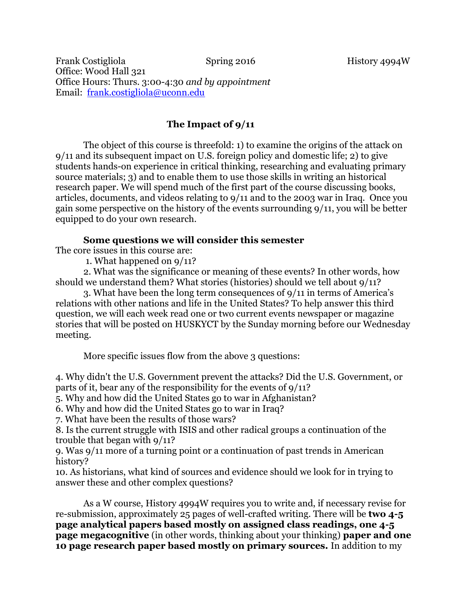Frank Costigliola Spring 2016 History 4994W Office: Wood Hall 321 Office Hours: Thurs. 3:00-4:30 *and by appointment* Email: [frank.costigliola@uconn.edu](mailto:frank.costigliola@uconn.edu)

# **The Impact of 9/11**

The object of this course is threefold: 1) to examine the origins of the attack on 9/11 and its subsequent impact on U.S. foreign policy and domestic life; 2) to give students hands-on experience in critical thinking, researching and evaluating primary source materials; 3) and to enable them to use those skills in writing an historical research paper. We will spend much of the first part of the course discussing books, articles, documents, and videos relating to 9/11 and to the 2003 war in Iraq. Once you gain some perspective on the history of the events surrounding 9/11, you will be better equipped to do your own research.

# **Some questions we will consider this semester**

The core issues in this course are:

1. What happened on 9/11?

2. What was the significance or meaning of these events? In other words, how should we understand them? What stories (histories) should we tell about 9/11?

3. What have been the long term consequences of 9/11 in terms of America's relations with other nations and life in the United States? To help answer this third question, we will each week read one or two current events newspaper or magazine stories that will be posted on HUSKYCT by the Sunday morning before our Wednesday meeting.

More specific issues flow from the above 3 questions:

4. Why didn't the U.S. Government prevent the attacks? Did the U.S. Government, or parts of it, bear any of the responsibility for the events of 9/11?

5. Why and how did the United States go to war in Afghanistan?

6. Why and how did the United States go to war in Iraq?

7. What have been the results of those wars?

8. Is the current struggle with ISIS and other radical groups a continuation of the trouble that began with 9/11?

9. Was 9/11 more of a turning point or a continuation of past trends in American history?

10. As historians, what kind of sources and evidence should we look for in trying to answer these and other complex questions?

As a W course, History 4994W requires you to write and, if necessary revise for re-submission, approximately 25 pages of well-crafted writing. There will be **two 4-5 page analytical papers based mostly on assigned class readings, one 4-5 page megacognitive** (in other words, thinking about your thinking) **paper and one 10 page research paper based mostly on primary sources.** In addition to my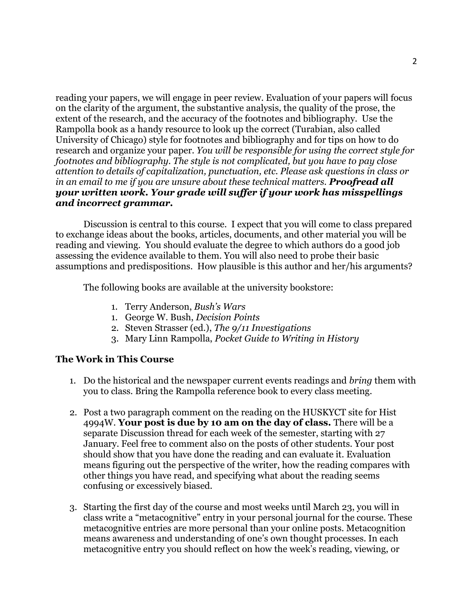reading your papers, we will engage in peer review. Evaluation of your papers will focus on the clarity of the argument, the substantive analysis, the quality of the prose, the extent of the research, and the accuracy of the footnotes and bibliography. Use the Rampolla book as a handy resource to look up the correct (Turabian, also called University of Chicago) style for footnotes and bibliography and for tips on how to do research and organize your paper. *You will be responsible for using the correct style for footnotes and bibliography. The style is not complicated, but you have to pay close attention to details of capitalization, punctuation, etc. Please ask questions in class or in an email to me if you are unsure about these technical matters. Proofread all your written work. Your grade will suffer if your work has misspellings and incorrect grammar.*

Discussion is central to this course. I expect that you will come to class prepared to exchange ideas about the books, articles, documents, and other material you will be reading and viewing. You should evaluate the degree to which authors do a good job assessing the evidence available to them. You will also need to probe their basic assumptions and predispositions. How plausible is this author and her/his arguments?

The following books are available at the university bookstore:

- 1. Terry Anderson, *Bush's Wars*
- 1. George W. Bush, *Decision Points*
- 2. Steven Strasser (ed.), *The 9/11 Investigations*
- 3. Mary Linn Rampolla, *Pocket Guide to Writing in History*

### **The Work in This Course**

- 1. Do the historical and the newspaper current events readings and *bring* them with you to class. Bring the Rampolla reference book to every class meeting.
- 2. Post a two paragraph comment on the reading on the HUSKYCT site for Hist 4994W. **Your post is due by 10 am on the day of class.** There will be a separate Discussion thread for each week of the semester, starting with 27 January. Feel free to comment also on the posts of other students. Your post should show that you have done the reading and can evaluate it. Evaluation means figuring out the perspective of the writer, how the reading compares with other things you have read, and specifying what about the reading seems confusing or excessively biased.
- 3. Starting the first day of the course and most weeks until March 23, you will in class write a "metacognitive" entry in your personal journal for the course. These metacognitive entries are more personal than your online posts. Metacognition means awareness and understanding of one's own thought processes. In each metacognitive entry you should reflect on how the week's reading, viewing, or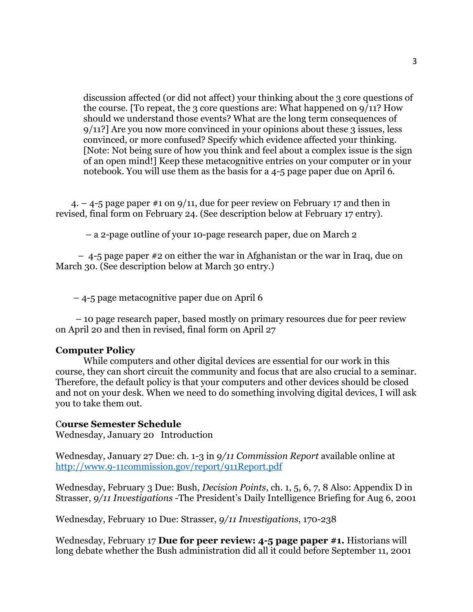discussion affected (or did not affect) your thinking about the 3 core questions of the course. [To repeat, the 3 core questions are: What happened on 9/11? How should we understand those events? What are the long term consequences of 9/11?] Are you now more convinced in your opinions about these 3 issues, less convinced, or more confused? Specify which evidence affected your thinking. [Note: Not being sure of how you think and feel about a complex issue is the sign of an open mind!] Keep these metacognitive entries on your computer or in your notebook. You will use them as the basis for a 4-5 page paper due on April 6.

 4. – 4-5 page paper #1 on 9/11, due for peer review on February 17 and then in revised, final form on February 24. (See description below at February 17 entry).

– a 2-page outline of your 10-page research paper, due on March 2

 – 4-5 page paper #2 on either the war in Afghanistan or the war in Iraq, due on March 30. (See description below at March 30 entry.)

– 4-5 page metacognitive paper due on April 6

 – 10 page research paper, based mostly on primary resources due for peer review on April 20 and then in revised, final form on April 27

#### **Computer Policy**

While computers and other digital devices are essential for our work in this course, they can short circuit the community and focus that are also crucial to a seminar. Therefore, the default policy is that your computers and other devices should be closed and not on your desk. When we need to do something involving digital devices, I will ask you to take them out.

#### C**ourse Semester Schedule**

Wednesday, January 20 Introduction

Wednesday, January 27 Due: ch. 1-3 in *9/11 Commission Report* available online at <http://www.9-11commission.gov/report/911Report.pdf>

Wednesday, February 3 Due: Bush, *Decision Points*, ch. 1, 5, 6, 7, 8 Also: Appendix D in Strasser, *9/11 Investigations* -The President's Daily Intelligence Briefing for Aug 6, 2001

Wednesday, February 10 Due: Strasser, *9/11 Investigations*, 170-238

Wednesday, February 17 **Due for peer review: 4-5 page paper #1.** Historians will long debate whether the Bush administration did all it could before September 11, 2001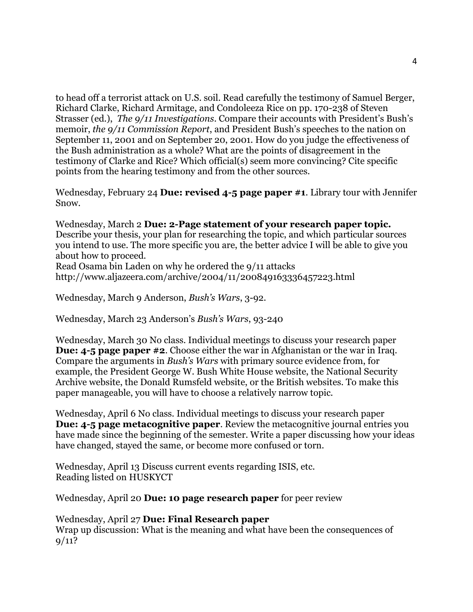to head off a terrorist attack on U.S. soil. Read carefully the testimony of Samuel Berger, Richard Clarke, Richard Armitage, and Condoleeza Rice on pp. 170-238 of Steven Strasser (ed.), *The 9/11 Investigations*. Compare their accounts with President's Bush's memoir, *the 9/11 Commission Report*, and President Bush's speeches to the nation on September 11, 2001 and on September 20, 2001. How do you judge the effectiveness of the Bush administration as a whole? What are the points of disagreement in the testimony of Clarke and Rice? Which official(s) seem more convincing? Cite specific points from the hearing testimony and from the other sources.

Wednesday, February 24 **Due: revised 4-5 page paper #1**. Library tour with Jennifer Snow.

Wednesday, March 2 **Due: 2-Page statement of your research paper topic.** Describe your thesis, your plan for researching the topic, and which particular sources you intend to use. The more specific you are, the better advice I will be able to give you about how to proceed.

Read Osama bin Laden on why he ordered the 9/11 attacks http://www.aljazeera.com/archive/2004/11/200849163336457223.html

Wednesday, March 9 Anderson, *Bush's Wars*, 3-92.

Wednesday, March 23 Anderson's *Bush's Wars*, 93-240

Wednesday, March 30 No class. Individual meetings to discuss your research paper **Due: 4-5 page paper #2**. Choose either the war in Afghanistan or the war in Iraq. Compare the arguments in *Bush's Wars* with primary source evidence from, for example, the President George W. Bush White House website, the National Security Archive website, the Donald Rumsfeld website, or the British websites. To make this paper manageable, you will have to choose a relatively narrow topic.

Wednesday, April 6 No class. Individual meetings to discuss your research paper **Due: 4-5 page metacognitive paper**. Review the metacognitive journal entries you have made since the beginning of the semester. Write a paper discussing how your ideas have changed, stayed the same, or become more confused or torn.

Wednesday, April 13 Discuss current events regarding ISIS, etc. Reading listed on HUSKYCT

Wednesday, April 20 **Due: 10 page research paper** for peer review

Wednesday, April 27 **Due: Final Research paper** Wrap up discussion: What is the meaning and what have been the consequences of  $9/11?$